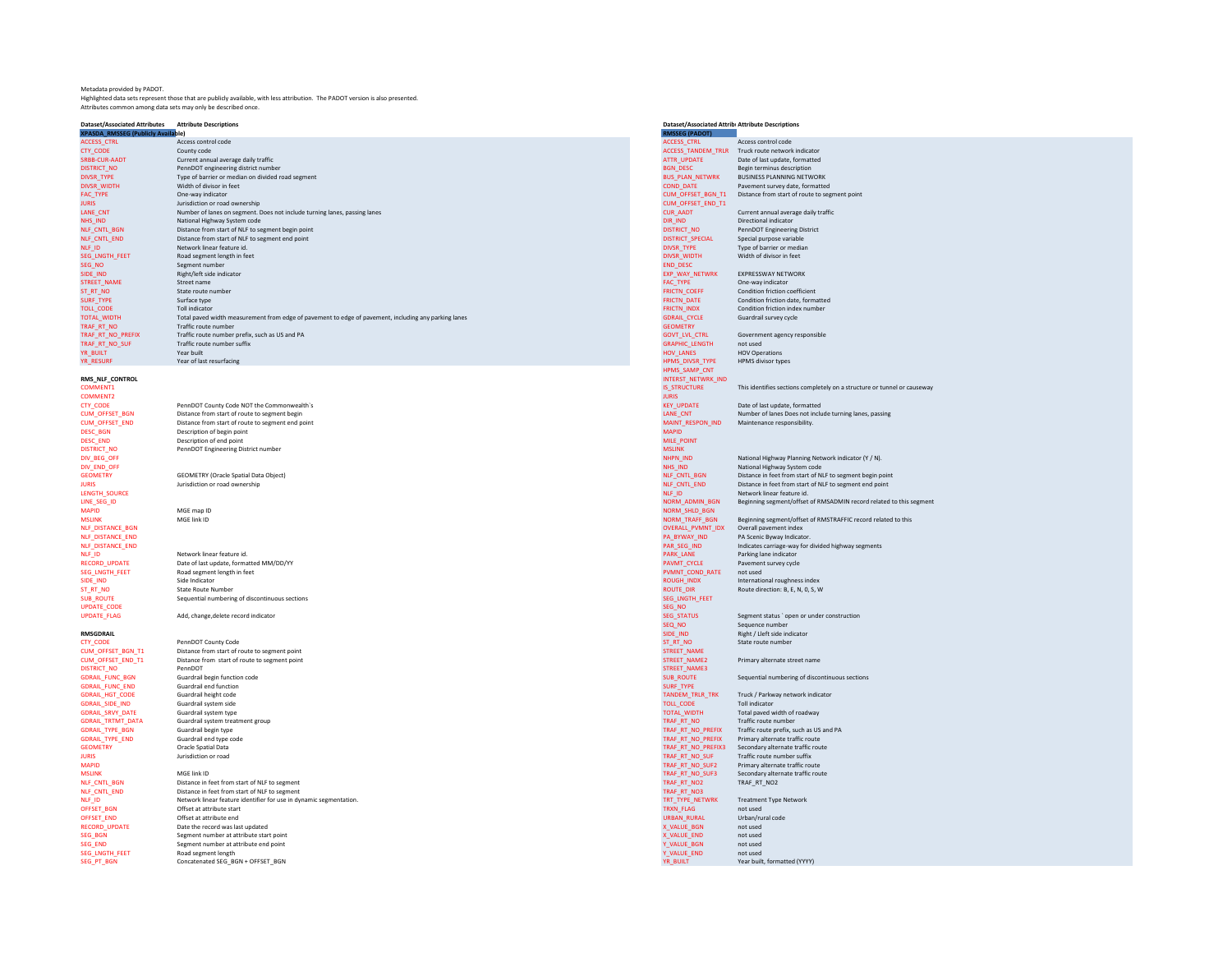Metadata provided by PADOT.<br>Highlighted data sets represent those that are publicly available, with less attribution. The PADOT version is also presented.<br>Attributes common among data sets may only be described once.

| <b>Dataset/Associated Attributes</b>      | <b>Attribute Descriptions</b>                                                                        | <b>Dataset/Associated Attrib: Attribute Descriptions</b> |                                                                          |
|-------------------------------------------|------------------------------------------------------------------------------------------------------|----------------------------------------------------------|--------------------------------------------------------------------------|
| <b>XPASDA RMSSEG (Publicly Available)</b> |                                                                                                      | <b>RMSSEG (PADOT)</b>                                    |                                                                          |
| <b>ACCESS_CTRL</b>                        | Access control code                                                                                  | ACCESS_CTRL                                              | Access control code                                                      |
| CTY CODE                                  | County code                                                                                          | ACCESS TANDEM TRLR                                       | Truck route network indicator                                            |
| <b>SRBB-CUR-AADT</b>                      | Current annual average daily traffic                                                                 | ATTR_UPDATE                                              | Date of last update, formatted                                           |
| <b>DISTRICT NO</b>                        | PennDOT engineering district number                                                                  | <b>BGN DESC</b>                                          | Begin terminus description                                               |
| DIVSR_TYPE                                | Type of barrier or median on divided road segment                                                    | <b>BUS_PLAN_NETWRK</b>                                   | <b>BUSINESS PLANNING NETWORK</b>                                         |
| <b>DIVSR_WIDTH</b>                        | Width of divisor in feet                                                                             | COND DATE                                                | Payement survey date, formatted                                          |
| FAC_TYPE                                  | One-way indicator                                                                                    | CUM_OFFSET_BGN_T1                                        | Distance from start of route to segment point                            |
| <b>ILIRIS</b>                             | Jurisdiction or road ownership                                                                       | CUM_OFFSET_END_T1                                        |                                                                          |
|                                           |                                                                                                      |                                                          |                                                                          |
| <b>LANE CNT</b>                           | Number of lanes on segment. Does not include turning lanes, passing lanes                            | <b>CUR_AADT</b>                                          | Current annual average daily traffic                                     |
| NHS_IND                                   | National Highway System code                                                                         | DIR_IND                                                  | Directional indicator                                                    |
| NLF_CNTL_BGN                              | Distance from start of NLF to segment begin point                                                    | <b>DISTRICT NO</b>                                       | PennDOT Engineering District                                             |
| <b>NLF CNTL END</b>                       | Distance from start of NLF to segment end point                                                      | DISTRICT SPECIAL                                         | Special purpose variable                                                 |
| NLF_ID                                    | Network linear feature id.                                                                           | DIVSR_TYPE                                               | Type of barrier or median                                                |
| SEG_LNGTH_FEET                            | Road segment length in feet                                                                          | DIVSR_WIDTH                                              | Width of divisor in feet                                                 |
| SEG_NO                                    | Segment number                                                                                       | <b>END_DESC</b>                                          |                                                                          |
| SIDE IND                                  | Right/left side indicator                                                                            | <b>EXP WAY NETWRK</b>                                    | EXPRESSWAY NETWORK                                                       |
| STREET_NAME                               | Street name                                                                                          | FAC_TYPE                                                 | One-way indicator                                                        |
| ST_RT_NO                                  | State route number                                                                                   | FRICTN_COEFF                                             | Condition friction coefficient                                           |
| <b>SURF TYPE</b>                          | Surface type                                                                                         | <b>FRICTN DATE</b>                                       | Condition friction date, formatted                                       |
| <b>TOLL CODE</b>                          | <b>Toll indicator</b>                                                                                | <b>FRICTN INDX</b>                                       | Condition friction index number                                          |
| <b>TOTAL WIDTH</b>                        | Total paved width measurement from edge of pavement to edge of pavement, including any parking lanes | <b>GDRAIL CYCLE</b>                                      | Guardrail survey cycle                                                   |
|                                           |                                                                                                      |                                                          |                                                                          |
| TRAF_RT_NO                                | Traffic route number                                                                                 | <b>GEOMETRY</b>                                          |                                                                          |
| TRAF_RT_NO_PREFIX                         | Traffic route number prefix, such as US and PA                                                       | <b>GOVT LVL CTRL</b>                                     | Government agency responsible                                            |
| TRAF_RT_NO_SUF                            | Traffic route number suffix                                                                          | <b>GRAPHIC_LENGTH</b>                                    | not used                                                                 |
| YR BUILT                                  | Year built                                                                                           | HOV LANES                                                | <b>HOV Operations</b>                                                    |
| YR_RESURF                                 | Year of last resurfacing                                                                             | HPMS_DIVSR_TYPE                                          | HPMS divisor types                                                       |
|                                           |                                                                                                      | HPMS SAMP CNT                                            |                                                                          |
| RMS_NLF_CONTROL                           |                                                                                                      | INTERST_NETWRK_IND                                       |                                                                          |
| <b>COMMENT1</b>                           |                                                                                                      | <b>IS STRUCTURE</b>                                      | This identifies sections completely on a structure or tunnel or causeway |
| COMMENT2                                  |                                                                                                      | <b>ILIRIS</b>                                            |                                                                          |
| CTY_CODE                                  | PennDOT County Code NOT the Commonwealth's                                                           | <b>KEY_UPDATE</b>                                        | Date of last update, formatted                                           |
| <b>CUM OFFSET BGN</b>                     | Distance from start of route to segment begin                                                        | LANE CNT                                                 | Number of lanes Does not include turning lanes, passing                  |
|                                           |                                                                                                      |                                                          |                                                                          |
| CUM_OFFSET_END                            | Distance from start of route to segment end point                                                    | MAINT_RESPON_IND                                         | Maintenance responsibility.                                              |
| <b>DESC BGN</b>                           | Description of begin point                                                                           | <b>MAPID</b>                                             |                                                                          |
| DESC_END                                  | Description of end point                                                                             | MILE_POINT                                               |                                                                          |
| <b>DISTRICT NO</b>                        | PennDOT Engineering District number                                                                  | <b>MSLINK</b>                                            |                                                                          |
| DIV_BEG_OFF                               |                                                                                                      | NHPN_IND                                                 | National Highway Planning Network indicator (Y / N).                     |
| DIV END OFF                               |                                                                                                      | NHS IND                                                  | National Highway System code                                             |
| <b>GEOMETRY</b>                           | <b>GEOMETRY (Oracle Spatial Data Object)</b>                                                         | NLF_CNTL_BGN                                             | Distance in feet from start of NLF to segment begin point                |
| <b>IURIS</b>                              | Jurisdiction or road ownership                                                                       | NLF_CNTL_END                                             | Distance in feet from start of NLF to segment end point                  |
| <b>LENGTH SOURCE</b>                      |                                                                                                      | NLF ID                                                   | Network linear feature id                                                |
| LINE SEG ID                               |                                                                                                      | NORM_ADMIN_BGN                                           | Beginning segment/offset of RMSADMIN record related to this segment      |
| <b>MAPID</b>                              | MGE map ID                                                                                           | NORM_SHLD_BGN                                            |                                                                          |
|                                           | MGF link ID                                                                                          |                                                          |                                                                          |
| <b>MSLINK</b>                             |                                                                                                      | NORM_TRAFF_BGN                                           | Beginning segment/offset of RMSTRAFFIC record related to this            |
| NLF_DISTANCE_BGN                          |                                                                                                      | OVERALL_PVMNT_IDX                                        | Overall payement index                                                   |
| <b>NLF DISTANCE END</b>                   |                                                                                                      | PA BYWAY IND                                             | PA Scenic Byway Indicator.                                               |
| NLF_DISTANCE_END                          |                                                                                                      | PAR_SEG_IND                                              | Indicates carriage-way for divided highway segments                      |
| NLF_ID                                    | Network linear feature id.                                                                           | PARK_LANE                                                | Parking lane indicator                                                   |
| <b>RECORD UPDATE</b>                      | Date of last update, formatted MM/DD/YY                                                              | PAVMT CYCLE                                              | Pavement survey cycle                                                    |
| SEG_LNGTH_FEET                            | Road segment length in feet                                                                          | PVMNT_COND_RATE                                          | not used                                                                 |
| SIDE IND                                  | Side Indicator                                                                                       | <b>ROUGH INDX</b>                                        | International roughness index                                            |
| ST_RT_NO                                  | <b>State Route Number</b>                                                                            | <b>ROUTE_DIR</b>                                         | Route direction: B, E, N, O, S, W                                        |
| <b>SUB ROUTE</b>                          | Sequential numbering of discontinuous sections                                                       | SEG_LNGTH_FEET                                           |                                                                          |
| <b>UPDATE CODE</b>                        |                                                                                                      | SEG_NO                                                   |                                                                          |
| <b>UPDATE_FLAG</b>                        | Add, change, delete record indicator                                                                 | <b>SEG STATUS</b>                                        | Segment status ' open or under construction                              |
|                                           |                                                                                                      |                                                          |                                                                          |
| <b>RMSGDRAIL</b>                          |                                                                                                      | SEQ_NO                                                   | Sequence number                                                          |
|                                           |                                                                                                      | SIDE_IND                                                 | Right / Lleft side indicator                                             |
| <b>CTY CODE</b>                           | PennDOT County Code                                                                                  | ST_RT_NO                                                 | State route number                                                       |
| CUM OFFSET BGN T1                         | Distance from start of route to segment point                                                        | STREET NAME                                              |                                                                          |
| CUM_OFFSET_END_T1                         | Distance from start of route to segment point                                                        | STREET_NAME2                                             | Primary alternate street name                                            |
| <b>DISTRICT_NO</b>                        | PennDOT                                                                                              | STREET_NAME3                                             |                                                                          |
| <b>GDRAIL FUNC BGN</b>                    | Guardrail begin function code                                                                        | <b>SUB ROUTE</b>                                         | Sequential numbering of discontinuous sections                           |
| <b>GDRAIL_FUNC_END</b>                    | Guardrail end function                                                                               | SURF TYPE                                                |                                                                          |
| <b>GDRAIL HGT CODE</b>                    | Guardrail height code                                                                                | TANDEM TRLR TRK                                          | Truck / Parkway network indicator                                        |
| GDRAIL_SIDE_IND                           | Guardrail system side                                                                                | TOLL_CODE                                                | <b>Toll indicator</b>                                                    |
| <b>GDRAIL SRVY DATE</b>                   | Guardrail system type                                                                                | TOTAL_WIDTH                                              | Total paved width of roadway                                             |
| <b>GDRAIL_TRTMT_DATA</b>                  | Guardrail system treatment group                                                                     | TRAF_RT_NO                                               | Traffic route number                                                     |
| <b>GDRAIL TYPE BGN</b>                    | Guardrail begin type                                                                                 | TRAF RT NO PREFIX                                        | Traffic route prefix, such as US and PA                                  |
| <b>GDRAIL_TYPE_END</b>                    |                                                                                                      | TRAF_RT_NO_PREFIX                                        | Primary alternate traffic route                                          |
|                                           | Guardrail end type code                                                                              |                                                          |                                                                          |
| <b>GEOMETRY</b>                           | Oracle Spatial Data                                                                                  | TRAF_RT_NO_PREFIX3                                       | Secondary alternate traffic route                                        |
| <b>JURIS</b>                              | Jurisdiction or road                                                                                 | TRAF_RT_NO_SUF                                           | Traffic route number suffix                                              |
| <b>MAPID</b>                              |                                                                                                      | TRAF RT NO SUF2                                          | Primary alternate traffic route                                          |
| <b>MSLINK</b>                             | MGE link ID                                                                                          | TRAF_RT_NO_SUF3                                          | Secondary alternate traffic route                                        |
| NLF_CNTL_BGN                              | Distance in feet from start of NLF to segment                                                        | TRAF_RT_NO2                                              | TRAF_RT_NO2                                                              |
| NLF CNTL END                              | Distance in feet from start of NLF to segment                                                        | TRAF RT NO3                                              |                                                                          |
| NLF_ID                                    | Network linear feature identifier for use in dynamic segmentation.                                   | TRT_TYPE_NETWRK                                          | <b>Treatment Type Network</b>                                            |
| OFFSET BGN                                | Offset at attribute start                                                                            | TRXN FLAG                                                | not used                                                                 |
| OFFSET_END                                | Offset at attribute end                                                                              | URBAN_RURAL                                              | Urban/rural code                                                         |
| <b>RECORD UPDATE</b>                      | Date the record was last updated                                                                     | X VALUE BGN                                              | not used                                                                 |
|                                           |                                                                                                      |                                                          |                                                                          |
| SEG_BGN                                   | Segment number at attribute start point                                                              | X_VALUE_END                                              | not used                                                                 |
| <b>SEG END</b>                            | Segment number at attribute end point                                                                | Y VALUE BGN                                              | not used                                                                 |
| SEG_LNGTH_FEET                            | Road segment length                                                                                  | Y_VALUE_END                                              | not used                                                                 |
| SEG PT BGN                                | Concatenated SEG_BGN + OFFSET BGN                                                                    | YR BUILT                                                 | Year built, formatted (YYYY)                                             |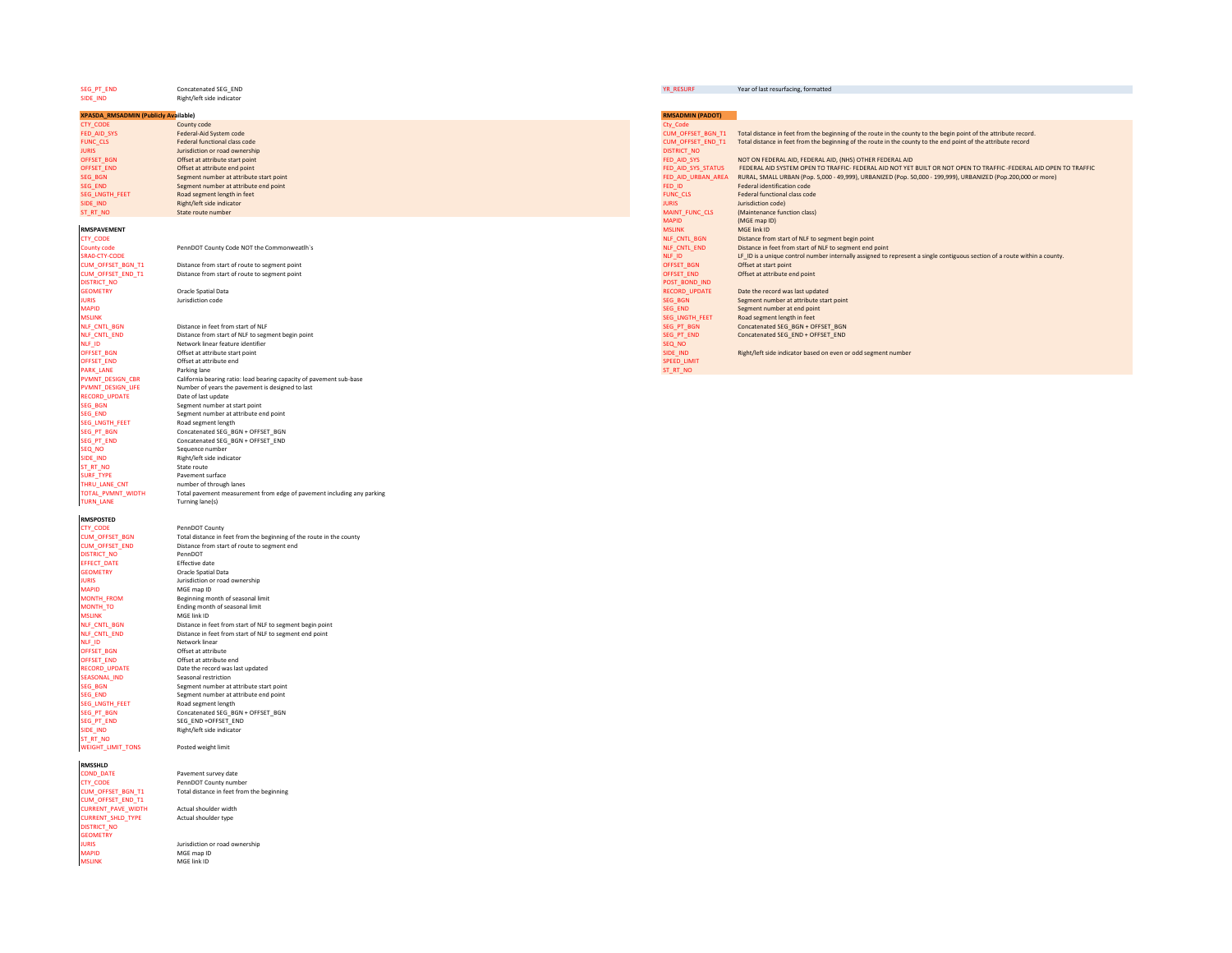| SEG_PT_END                                            | Concatenated SEG_END                                                                                                 | YR_RESURF                         | Year of last resurfacing, formatted                                                                                                                                          |
|-------------------------------------------------------|----------------------------------------------------------------------------------------------------------------------|-----------------------------------|------------------------------------------------------------------------------------------------------------------------------------------------------------------------------|
| SIDE_IND                                              | Right/left side indicator                                                                                            |                                   |                                                                                                                                                                              |
| <b>XPASDA_RMSADMIN (Publicly Available)</b>           |                                                                                                                      | <b>RMSADMIN (PADOT)</b>           |                                                                                                                                                                              |
| CTY_CODE                                              | County code                                                                                                          | Cty_Code                          |                                                                                                                                                                              |
| FED_AID_SYS                                           | Federal-Aid System code                                                                                              |                                   | CUM_OFFSET_BGN_T1 Total distance in feet from the beginning of the route in the county to the begin point of the attribute record.                                           |
| FUNC_CLS                                              | Federal functional class code                                                                                        | CUM_OFFSET_END_T1                 | Total distance in feet from the beginning of the route in the county to the end point of the attribute record                                                                |
| <b>JURIS</b>                                          | Jurisdiction or road ownership                                                                                       | <b>DISTRICT NO</b>                |                                                                                                                                                                              |
| OFFSET_BGN<br>OFFSET_END                              | Offset at attribute start point<br>Offset at attribute end point                                                     | FED_AID_SYS<br>FED_AID_SYS_STATUS | NOT ON FEDERAL AID, FEDERAL AID, (NHS) OTHER FEDERAL AID<br>FEDERAL AID SYSTEM OPEN TO TRAFFIC- FEDERAL AID NOT YET BUILT OR NOT OPEN TO TRAFFIC-FEDERAL AID OPEN TO TRAFFIC |
| SEG_BGN                                               | Segment number at attribute start point                                                                              |                                   | FED_AID_URBAN_AREA RURAL, SMALL URBAN (Pop. 5,000 - 49,999), URBANIZED (Pop. 50,000 - 199,999), URBANIZED (Pop.200,000 or more)                                              |
| SEG_END                                               | Segment number at attribute end point                                                                                | FED_ID                            | Federal identification code                                                                                                                                                  |
| SEG_LNGTH_FEET                                        | Road segment length in feet                                                                                          | <b>FUNC_CLS</b>                   | Federal functional class code                                                                                                                                                |
| SIDE_IND                                              | Right/left side indicator                                                                                            | <b>JURIS</b>                      | Jurisdiction code)                                                                                                                                                           |
| ST_RT_NO                                              | State route number                                                                                                   | MAINT_FUNC_CLS                    | (Maintenance function class)                                                                                                                                                 |
|                                                       |                                                                                                                      | <b>MAPID</b>                      | (MGE map ID)                                                                                                                                                                 |
| <b>RMSPAVEMENT</b>                                    |                                                                                                                      | <b>MSLINK</b>                     | MGF link ID                                                                                                                                                                  |
| CTY_CODE<br><b>County code</b>                        | PennDOT County Code NOT the Commonweatlh's                                                                           | NLF_CNTL_BGN<br>NLF_CNTL_END      | Distance from start of NLF to segment begin point<br>Distance in feet from start of NLF to segment end point                                                                 |
| SRA0-CTY-CODE                                         |                                                                                                                      | $NLF$ <sup>D</sup>                | LF_ID is a unique control number internally assigned to represent a single contiguous section of a route within a county.                                                    |
| CUM OFFSET BGN T1                                     | Distance from start of route to segment point                                                                        | OFFSET_BGN                        | Offset at start point                                                                                                                                                        |
| CUM_OFFSET_END_T1                                     | Distance from start of route to segment point                                                                        | OFFSET_END                        | Offset at attribute end point                                                                                                                                                |
| <b>DISTRICT NO</b>                                    |                                                                                                                      | POST BOND IND                     |                                                                                                                                                                              |
| <b>GEOMETRY</b>                                       | Oracle Spatial Data                                                                                                  | RECORD_UPDATE                     | Date the record was last updated                                                                                                                                             |
| <b>JURIS</b>                                          | Jurisdiction code                                                                                                    | SEG_BGN                           | Segment number at attribute start point                                                                                                                                      |
| <b>MAPID</b>                                          |                                                                                                                      | <b>SEG END</b>                    | Segment number at end point                                                                                                                                                  |
| <b>MSLINK</b>                                         | Distance in feet from start of NLF                                                                                   | SEG_LNGTH_FEET                    | Road segment length in feet                                                                                                                                                  |
| NLF_CNTL_BGN<br>NLF_CNTL_END                          | Distance from start of NLF to segment begin point                                                                    | SEG_PT_BGN<br>SEG_PT_END          | Concatenated SEG_BGN + OFFSET_BGN<br>Concatenated SEG_END + OFFSET_END                                                                                                       |
| NLF_ID                                                | Network linear feature identifier                                                                                    | SEQ_NO                            |                                                                                                                                                                              |
| OFFSET_BGN                                            | Offset at attribute start point                                                                                      | SIDE_IND                          | Right/left side indicator based on even or odd segment number                                                                                                                |
| OFFSET_END                                            | Offset at attribute end                                                                                              | SPEED_LIMIT                       |                                                                                                                                                                              |
| PARK_LANE                                             | Parking lane                                                                                                         | ST_RT_NO                          |                                                                                                                                                                              |
| PVMNT_DESIGN_CBR                                      | California bearing ratio: load bearing capacity of pavement sub-base                                                 |                                   |                                                                                                                                                                              |
| PVMNT_DESIGN_LIFE                                     | Number of years the pavement is designed to last                                                                     |                                   |                                                                                                                                                                              |
| RECORD_UPDATE                                         | Date of last update                                                                                                  |                                   |                                                                                                                                                                              |
| SEG_BGN<br>SEG_END                                    | Segment number at start point<br>Segment number at attribute end point                                               |                                   |                                                                                                                                                                              |
| SEG_LNGTH_FEET                                        | Road segment length                                                                                                  |                                   |                                                                                                                                                                              |
| SEG_PT_BGN                                            | Concatenated SEG_BGN + OFFSET_BGN                                                                                    |                                   |                                                                                                                                                                              |
| SEG_PT_END                                            | Concatenated SEG_BGN + OFFSET_END                                                                                    |                                   |                                                                                                                                                                              |
| SEQ NO                                                | Sequence number                                                                                                      |                                   |                                                                                                                                                                              |
| SIDE_IND                                              | Right/left side indicator                                                                                            |                                   |                                                                                                                                                                              |
| ST RT NO                                              | State route                                                                                                          |                                   |                                                                                                                                                                              |
| SURF_TYPE                                             | Pavement surface                                                                                                     |                                   |                                                                                                                                                                              |
| THRU_LANE_CNT<br>TOTAL_PVMNT_WIDTH                    | number of through lanes<br>Total pavement measurement from edge of pavement including any parking                    |                                   |                                                                                                                                                                              |
| <b>TURN_LANE</b>                                      | Turning lane(s)                                                                                                      |                                   |                                                                                                                                                                              |
|                                                       |                                                                                                                      |                                   |                                                                                                                                                                              |
| <b>RMSPOSTED</b>                                      |                                                                                                                      |                                   |                                                                                                                                                                              |
| CTY CODE                                              | PennDOT County                                                                                                       |                                   |                                                                                                                                                                              |
| CUM_OFFSET_BGN<br><b>CUM OFFSET END</b>               | Total distance in feet from the beginning of the route in the county                                                 |                                   |                                                                                                                                                                              |
| <b>DISTRICT_NO</b>                                    | Distance from start of route to segment end<br>PennDOT                                                               |                                   |                                                                                                                                                                              |
| EFFECT_DATE                                           | <b>Effective date</b>                                                                                                |                                   |                                                                                                                                                                              |
| <b>GEOMETRY</b>                                       | Oracle Spatial Data                                                                                                  |                                   |                                                                                                                                                                              |
| <b>ILIRIS</b>                                         | Jurisdiction or road ownership                                                                                       |                                   |                                                                                                                                                                              |
| <b>MAPID</b>                                          | MGE map ID                                                                                                           |                                   |                                                                                                                                                                              |
| <b>MONTH_FROM</b>                                     | Beginning month of seasonal limit                                                                                    |                                   |                                                                                                                                                                              |
| MONTH_TO                                              | Ending month of seasonal limit                                                                                       |                                   |                                                                                                                                                                              |
| <b>MSLINK</b>                                         | MGE link ID                                                                                                          |                                   |                                                                                                                                                                              |
| NLF_CNTL_BGN<br>NLF_CNTL_END                          | Distance in feet from start of NLF to segment begin point<br>Distance in feet from start of NLF to segment end point |                                   |                                                                                                                                                                              |
| NLF_ID                                                | Network linear                                                                                                       |                                   |                                                                                                                                                                              |
| OFFSET_BGN                                            | Offset at attribute                                                                                                  |                                   |                                                                                                                                                                              |
| OFFSET_END                                            | Offset at attribute end                                                                                              |                                   |                                                                                                                                                                              |
| <b>RECORD_UPDATE</b>                                  | Date the record was last updated                                                                                     |                                   |                                                                                                                                                                              |
| SEASONAL_IND                                          | Seasonal restriction                                                                                                 |                                   |                                                                                                                                                                              |
| SEG_BGN                                               | Segment number at attribute start point                                                                              |                                   |                                                                                                                                                                              |
| SEG_END                                               | Segment number at attribute end point                                                                                |                                   |                                                                                                                                                                              |
| SEG_LNGTH_FEET                                        | Road segment length                                                                                                  |                                   |                                                                                                                                                                              |
| SEG_PT_BGN                                            | Concatenated SEG_BGN + OFFSET_BGN                                                                                    |                                   |                                                                                                                                                                              |
| SEG_PT_END<br>SIDE IND                                | SEG_END +OFFSET_END<br>Right/left side indicator                                                                     |                                   |                                                                                                                                                                              |
| ST_RT_NO                                              |                                                                                                                      |                                   |                                                                                                                                                                              |
| <b>WEIGHT_LIMIT_TONS</b>                              | Posted weight limit                                                                                                  |                                   |                                                                                                                                                                              |
|                                                       |                                                                                                                      |                                   |                                                                                                                                                                              |
| <b>RMSSHLD</b>                                        |                                                                                                                      |                                   |                                                                                                                                                                              |
| COND_DATE                                             | Pavement survey date                                                                                                 |                                   |                                                                                                                                                                              |
| <b>CTY CODE</b>                                       | PennDOT County number                                                                                                |                                   |                                                                                                                                                                              |
| CUM_OFFSET_BGN_T1                                     | Total distance in feet from the beginning                                                                            |                                   |                                                                                                                                                                              |
| CUM OFFSET END T1                                     |                                                                                                                      |                                   |                                                                                                                                                                              |
| <b>CURRENT_PAVE_WIDTH</b><br><b>CURRENT SHLD TYPE</b> | Actual shoulder width<br>Actual shoulder type                                                                        |                                   |                                                                                                                                                                              |
| <b>DISTRICT NO</b>                                    |                                                                                                                      |                                   |                                                                                                                                                                              |

DISTRICT\_NO<br>GEOMETRY<br>JURIS<br>MAPID<br>MSLINK

JURIS Jurisdiction or road ownership MAPID MGE map ID MSLINK MGE link ID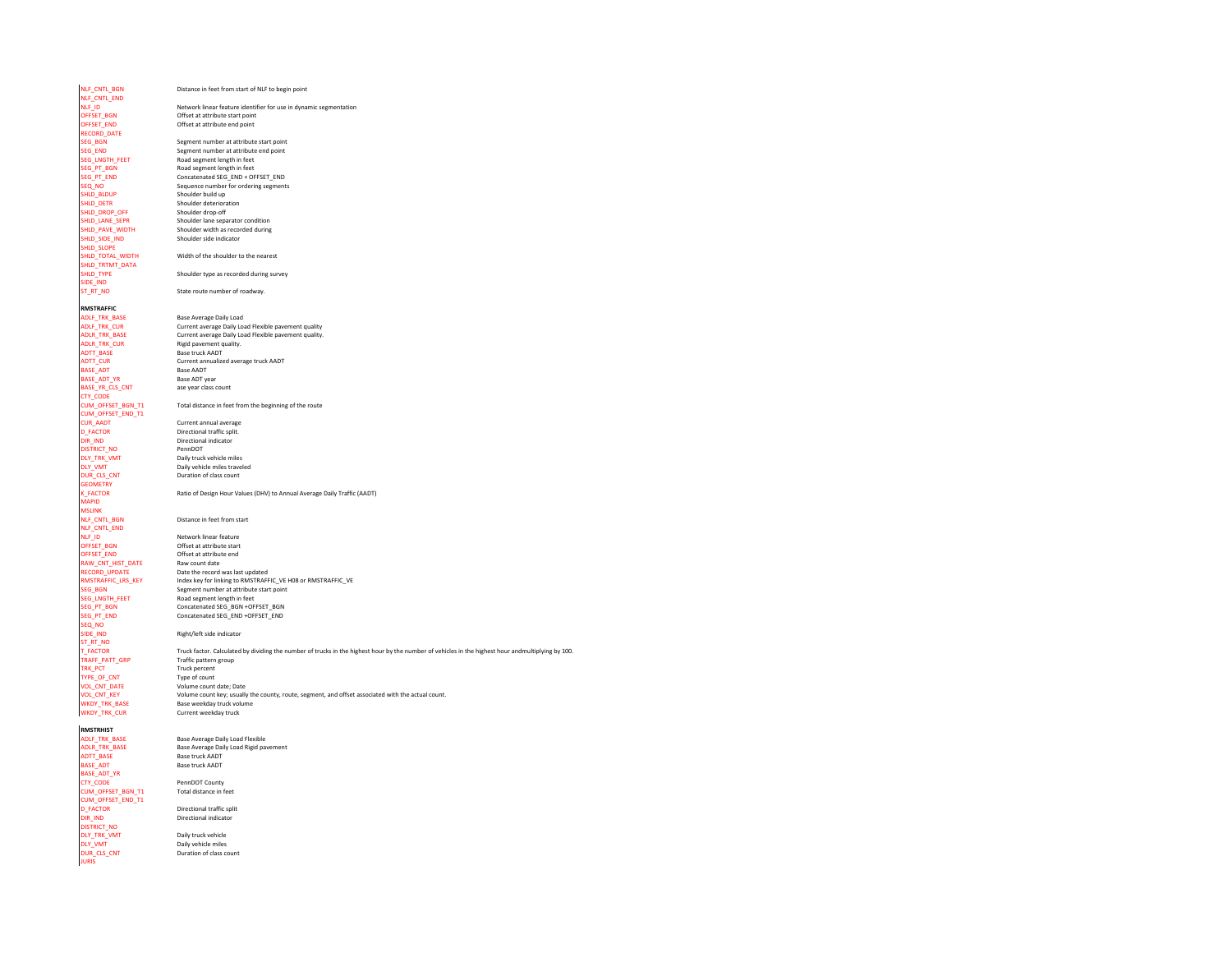| NLF_CNTL_BGN<br>NLF_CNTL_END           | Distance in feet from start of NLF to begin point                                                                                                  |
|----------------------------------------|----------------------------------------------------------------------------------------------------------------------------------------------------|
| NLF ID                                 | Network linear feature identifier for use in dynamic segmentation                                                                                  |
| OFFSET_BGN                             | Offset at attribute start point                                                                                                                    |
| OFFSET_END                             | Offset at attribute end point                                                                                                                      |
| <b>RECORD DATE</b>                     |                                                                                                                                                    |
| SEG_BGN<br>SEG END                     | Segment number at attribute start point<br>Segment number at attribute end point                                                                   |
| SEG_LNGTH_FEET                         | Road segment length in feet                                                                                                                        |
| SEG_PT_BGN                             | Road segment length in feet                                                                                                                        |
| SEG_PT_END                             | Concatenated SEG_END + OFFSET_END                                                                                                                  |
| SEQ_NO                                 | Sequence number for ordering segments                                                                                                              |
| SHLD_BLDUP                             | Shoulder build up                                                                                                                                  |
| SHLD_DETR                              | Shoulder deterioration                                                                                                                             |
| SHLD_DROP_OFF<br>SHLD_LANE_SEPR        | Shoulder drop-off<br>Shoulder lane separator condition                                                                                             |
| SHLD_PAVE_WIDTH                        | Shoulder width as recorded during                                                                                                                  |
| SHLD_SIDE_IND<br>SHLD_SLOPE            | Shoulder side indicator                                                                                                                            |
| SHLD_TOTAL_WIDTH<br>SHLD_TRTMT_DATA    | Width of the shoulder to the nearest                                                                                                               |
| SHLD_TYPE                              | Shoulder type as recorded during survey                                                                                                            |
| SIDE IND                               |                                                                                                                                                    |
| ST_RT_NO                               | State route number of roadway.                                                                                                                     |
| RMSTRAFFIC                             |                                                                                                                                                    |
| <b>ADLF TRK BASE</b>                   | Base Average Daily Load                                                                                                                            |
| ADLF_TRK_CUR                           | Current average Daily Load Flexible pavement quality                                                                                               |
| <b>ADLR TRK BASE</b>                   | Current average Daily Load Flexible pavement quality.                                                                                              |
| ADLR_TRK_CUR                           | Rigid pavement quality.                                                                                                                            |
| ADTT_BASE<br>ADTT CUR                  | Base truck AADT<br>Current annualized average truck AADT                                                                                           |
| BASE_ADT                               | <b>Base AADT</b>                                                                                                                                   |
| BASE ADT YR                            | Base ADT year                                                                                                                                      |
| BASE_YR_CLS_CNT                        | ase year class count                                                                                                                               |
| CTY CODE                               |                                                                                                                                                    |
| CUM_OFFSET_BGN_T1                      | Total distance in feet from the beginning of the route                                                                                             |
| CUM_OFFSET_END_T1<br>CUR_AADT          | Current annual average                                                                                                                             |
| <b>D FACTOR</b>                        | Directional traffic split.                                                                                                                         |
| <b>DIR IND</b>                         | <b>Directional indicator</b>                                                                                                                       |
| <b>DISTRICT NO</b>                     | PennDOT                                                                                                                                            |
| DLY_TRK_VMT                            | Daily truck vehicle miles                                                                                                                          |
| DLY_VMT                                | Daily vehicle miles traveled                                                                                                                       |
| DUR_CLS_CNT<br><b>GEOMETRY</b>         | Duration of class count                                                                                                                            |
| K_FACTOR                               | Ratio of Design Hour Values (DHV) to Annual Average Daily Traffic (AADT)                                                                           |
| <b>MAPID</b>                           |                                                                                                                                                    |
| <b>MSLINK</b>                          |                                                                                                                                                    |
| NLF_CNTL_BGN                           | Distance in feet from start                                                                                                                        |
| NLF CNTL END                           |                                                                                                                                                    |
| NLF_ID<br>OFFSET_BGN                   | Network linear feature<br>Offset at attribute start                                                                                                |
| OFFSET_END                             | Offset at attribute end                                                                                                                            |
| RAW_CNT_HIST_DATE                      | Raw count date                                                                                                                                     |
| RECORD_UPDATE                          | Date the record was last updated                                                                                                                   |
| RMSTRAFFIC_LRS_KEY                     | Index key for linking to RMSTRAFFIC_VE H08 or RMSTRAFFIC_VE                                                                                        |
| SEG BGN                                | Segment number at attribute start point                                                                                                            |
| SEG_LNGTH_FEET<br>SEG PT BGN           | Road segment length in feet<br>Concatenated SEG BGN +OFFSET BGN                                                                                    |
| SEG_PT_END                             | Concatenated SEG_END +OFFSET_END                                                                                                                   |
| SEQ_NO                                 |                                                                                                                                                    |
| SIDE_IND                               | Right/left side indicator                                                                                                                          |
| ST RT NO                               |                                                                                                                                                    |
| T_FACTOR                               | Truck factor. Calculated by dividing the number of trucks in the highest hour by the number of vehicles in the highest hour andmultiplying by 100. |
| TRAFF PATT GRP                         | Traffic pattern group                                                                                                                              |
| TRK_PCT<br>TYPE_OF_CNT                 | Truck percent<br>Type of count                                                                                                                     |
| VOL_CNT_DATE                           | Volume count date; Date                                                                                                                            |
| VOL_CNT_KEY                            | Volume count key; usually the county, route, segment, and offset associated with the actual count.                                                 |
| WKDY_TRK_BASE                          | Base weekday truck volume                                                                                                                          |
| WKDY_TRK_CUR                           | Current weekday truck                                                                                                                              |
|                                        |                                                                                                                                                    |
| RMSTRHIST<br><b>ADLF TRK BASE</b>      | Base Average Daily Load Flexible                                                                                                                   |
| ADLR_TRK_BASE                          | Base Average Daily Load Rigid pavement                                                                                                             |
| <b>ADTT BASE</b>                       | <b>Base truck AADT</b>                                                                                                                             |
| BASE_ADT                               | <b>Base truck AADT</b>                                                                                                                             |
| BASE_ADT_YR                            |                                                                                                                                                    |
| CTY_CODE                               | PennDOT County                                                                                                                                     |
| CUM_OFFSET_BGN_T1<br>CUM_OFFSET_END_T1 | Total distance in feet                                                                                                                             |
| D_FACTOR                               | Directional traffic split                                                                                                                          |
| DIR IND                                | Directional indicator                                                                                                                              |
|                                        |                                                                                                                                                    |

DLY\_TRK\_VMT Daily truck vehicle<br>DLY\_VMT Daily vehicle miles<br>DUR\_CLS\_CNT Duration of class count

DISTRICT\_NO

JURIS